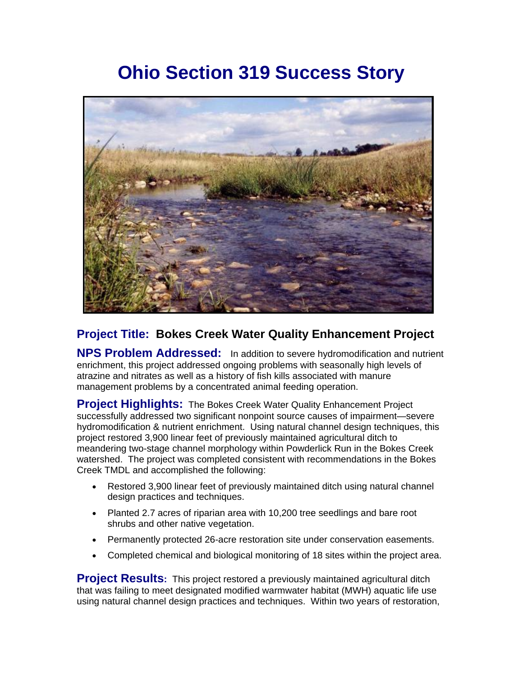## **Ohio Section 319 Success Story**



## **Project Title: Bokes Creek Water Quality Enhancement Project**

**NPS Problem Addressed:** In addition to severe hydromodification and nutrient enrichment, this project addressed ongoing problems with seasonally high levels of atrazine and nitrates as well as a history of fish kills associated with manure management problems by a concentrated animal feeding operation.

**Project Highlights:** The Bokes Creek Water Quality Enhancement Project successfully addressed two significant nonpoint source causes of impairment—severe hydromodification & nutrient enrichment. Using natural channel design techniques, this project restored 3,900 linear feet of previously maintained agricultural ditch to meandering two-stage channel morphology within Powderlick Run in the Bokes Creek watershed. The project was completed consistent with recommendations in the Bokes Creek TMDL and accomplished the following:

- Restored 3,900 linear feet of previously maintained ditch using natural channel design practices and techniques.
- Planted 2.7 acres of riparian area with 10,200 tree seedlings and bare root shrubs and other native vegetation.
- Permanently protected 26-acre restoration site under conservation easements.
- Completed chemical and biological monitoring of 18 sites within the project area.

**Project Results:** This project restored a previously maintained agricultural ditch that was failing to meet designated modified warmwater habitat (MWH) aquatic life use using natural channel design practices and techniques. Within two years of restoration,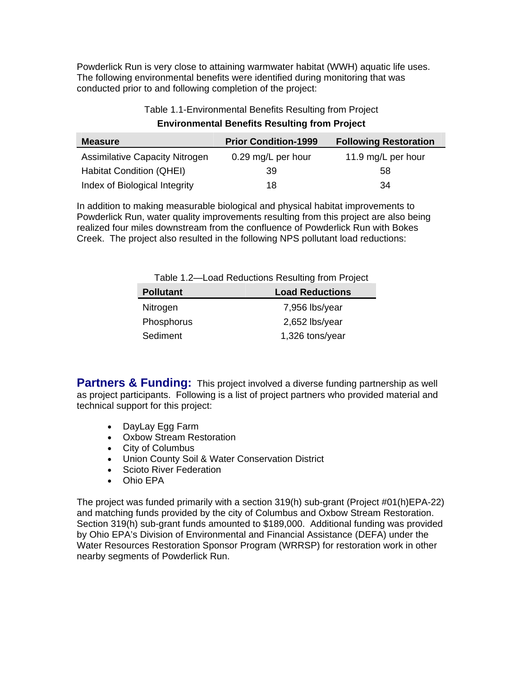Powderlick Run is very close to attaining warmwater habitat (WWH) aquatic life uses. The following environmental benefits were identified during monitoring that was conducted prior to and following completion of the project:

| Table 1.1-Environmental Benefits Resulting from Project |  |
|---------------------------------------------------------|--|
|---------------------------------------------------------|--|

## **Environmental Benefits Resulting from Project**

| <b>Measure</b>                        | <b>Prior Condition-1999</b> | <b>Following Restoration</b> |
|---------------------------------------|-----------------------------|------------------------------|
| <b>Assimilative Capacity Nitrogen</b> | 0.29 mg/L per hour          | 11.9 mg/L per hour           |
| <b>Habitat Condition (QHEI)</b>       | 39                          | 58                           |
| Index of Biological Integrity         | 18                          | 34                           |

In addition to making measurable biological and physical habitat improvements to Powderlick Run, water quality improvements resulting from this project are also being realized four miles downstream from the confluence of Powderlick Run with Bokes Creek. The project also resulted in the following NPS pollutant load reductions:

|  | Table 1.2—Load Reductions Resulting from Project |  |  |
|--|--------------------------------------------------|--|--|
|  |                                                  |  |  |

| <b>Pollutant</b> | <b>Load Reductions</b> |
|------------------|------------------------|
| Nitrogen         | 7,956 lbs/year         |
| Phosphorus       | $2,652$ lbs/year       |
| Sediment         | 1,326 tons/year        |

**Partners & Funding:** This project involved a diverse funding partnership as well as project participants. Following is a list of project partners who provided material and technical support for this project:

- DayLay Egg Farm
- Oxbow Stream Restoration
- City of Columbus
- Union County Soil & Water Conservation District
- Scioto River Federation
- Ohio EPA

The project was funded primarily with a section 319(h) sub-grant (Project #01(h)EPA-22) and matching funds provided by the city of Columbus and Oxbow Stream Restoration. Section 319(h) sub-grant funds amounted to \$189,000. Additional funding was provided by Ohio EPA's Division of Environmental and Financial Assistance (DEFA) under the Water Resources Restoration Sponsor Program (WRRSP) for restoration work in other nearby segments of Powderlick Run.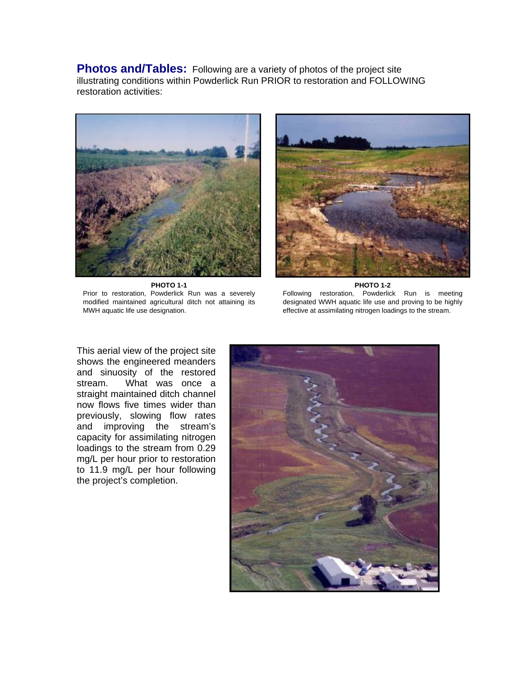**Photos and/Tables:** Following are a variety of photos of the project site illustrating conditions within Powderlick Run PRIOR to restoration and FOLLOWING restoration activities:



**PHOTO 1-1**  Prior to restoration, Powderlick Run was a severely modified maintained agricultural ditch not attaining its MWH aquatic life use designation.



#### **PHOTO 1-2**

Following restoration, Powderlick Run is meeting designated WWH aquatic life use and proving to be highly effective at assimilating nitrogen loadings to the stream.

This aerial view of the project site shows the engineered meanders and sinuosity of the restored stream. What was once a straight maintained ditch channel now flows five times wider than previously, slowing flow rates and improving the stream's capacity for assimilating nitrogen loadings to the stream from 0.29 mg/L per hour prior to restoration to 11.9 mg/L per hour following the project's completion.